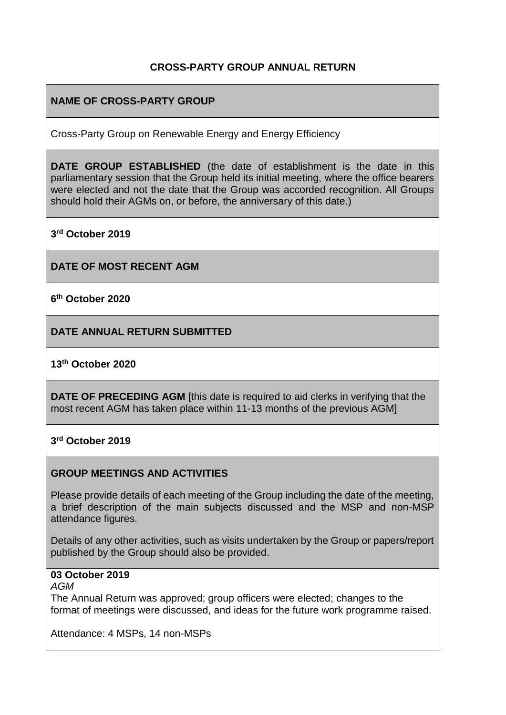## **CROSS-PARTY GROUP ANNUAL RETURN**

# **NAME OF CROSS-PARTY GROUP**

Cross-Party Group on Renewable Energy and Energy Efficiency

**DATE GROUP ESTABLISHED** (the date of establishment is the date in this parliamentary session that the Group held its initial meeting, where the office bearers were elected and not the date that the Group was accorded recognition. All Groups should hold their AGMs on, or before, the anniversary of this date.)

**3 rd October 2019**

**DATE OF MOST RECENT AGM**

**6 th October 2020**

**DATE ANNUAL RETURN SUBMITTED**

### **13th October 2020**

**DATE OF PRECEDING AGM** [this date is required to aid clerks in verifying that the most recent AGM has taken place within 11-13 months of the previous AGM]

### **3 rd October 2019**

### **GROUP MEETINGS AND ACTIVITIES**

Please provide details of each meeting of the Group including the date of the meeting, a brief description of the main subjects discussed and the MSP and non-MSP attendance figures.

Details of any other activities, such as visits undertaken by the Group or papers/report published by the Group should also be provided.

## **03 October 2019**

#### *AGM*

The Annual Return was approved; group officers were elected; changes to the format of meetings were discussed, and ideas for the future work programme raised.

Attendance: 4 MSPs, 14 non-MSPs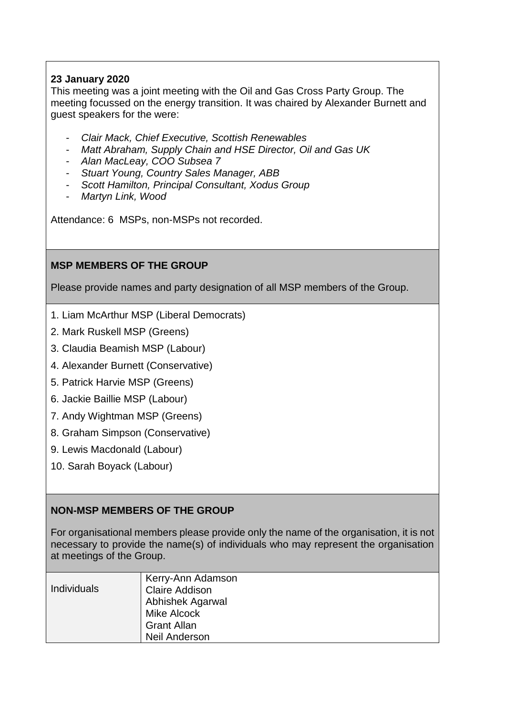# **23 January 2020**

This meeting was a joint meeting with the Oil and Gas Cross Party Group. The meeting focussed on the energy transition. It was chaired by Alexander Burnett and guest speakers for the were:

- *Clair Mack, Chief Executive, Scottish Renewables*
- *Matt Abraham, Supply Chain and HSE Director, Oil and Gas UK*
- *Alan MacLeay, COO Subsea 7*
- *Stuart Young, Country Sales Manager, ABB*
- *Scott Hamilton, Principal Consultant, Xodus Group*
- *Martyn Link, Wood*

Attendance: 6 MSPs, non-MSPs not recorded.

## **MSP MEMBERS OF THE GROUP**

Please provide names and party designation of all MSP members of the Group.

- 1. Liam McArthur MSP (Liberal Democrats)
- 2. Mark Ruskell MSP (Greens)
- 3. Claudia Beamish MSP (Labour)
- 4. Alexander Burnett (Conservative)
- 5. Patrick Harvie MSP (Greens)
- 6. Jackie Baillie MSP (Labour)
- 7. Andy Wightman MSP (Greens)
- 8. Graham Simpson (Conservative)
- 9. Lewis Macdonald (Labour)
- 10. Sarah Boyack (Labour)

## **NON-MSP MEMBERS OF THE GROUP**

For organisational members please provide only the name of the organisation, it is not necessary to provide the name(s) of individuals who may represent the organisation at meetings of the Group.

| <b>Individuals</b> | Kerry-Ann Adamson<br><b>Claire Addison</b><br>Abhishek Agarwal<br>Mike Alcock<br><b>Grant Allan</b><br><b>Neil Anderson</b> |
|--------------------|-----------------------------------------------------------------------------------------------------------------------------|
|--------------------|-----------------------------------------------------------------------------------------------------------------------------|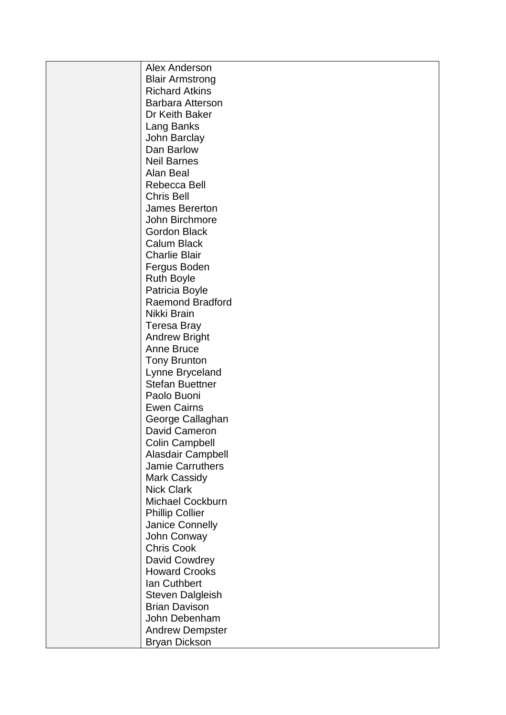| Alex Anderson           |
|-------------------------|
| <b>Blair Armstrong</b>  |
| <b>Richard Atkins</b>   |
| <b>Barbara Atterson</b> |
| Dr Keith Baker          |
| Lang Banks              |
| John Barclay            |
| Dan Barlow              |
| <b>Neil Barnes</b>      |
| Alan Beal               |
| Rebecca Bell            |
| <b>Chris Bell</b>       |
| James Bererton          |
| John Birchmore          |
| <b>Gordon Black</b>     |
| <b>Calum Black</b>      |
| <b>Charlie Blair</b>    |
| Fergus Boden            |
| <b>Ruth Boyle</b>       |
| Patricia Boyle          |
| Raemond Bradford        |
| Nikki Brain             |
| <b>Teresa Bray</b>      |
| <b>Andrew Bright</b>    |
| <b>Anne Bruce</b>       |
| <b>Tony Brunton</b>     |
| Lynne Bryceland         |
| <b>Stefan Buettner</b>  |
| Paolo Buoni             |
| <b>Ewen Cairns</b>      |
| George Callaghan        |
| David Cameron           |
| <b>Colin Campbell</b>   |
| Alasdair Campbell       |
| <b>Jamie Carruthers</b> |
| <b>Mark Cassidy</b>     |
| <b>Nick Clark</b>       |
| <b>Michael Cockburn</b> |
| <b>Phillip Collier</b>  |
| Janice Connelly         |
| John Conway             |
| <b>Chris Cook</b>       |
| David Cowdrey           |
| <b>Howard Crooks</b>    |
| Ian Cuthbert            |
| <b>Steven Dalgleish</b> |
| <b>Brian Davison</b>    |
| John Debenham           |
| <b>Andrew Dempster</b>  |
| <b>Bryan Dickson</b>    |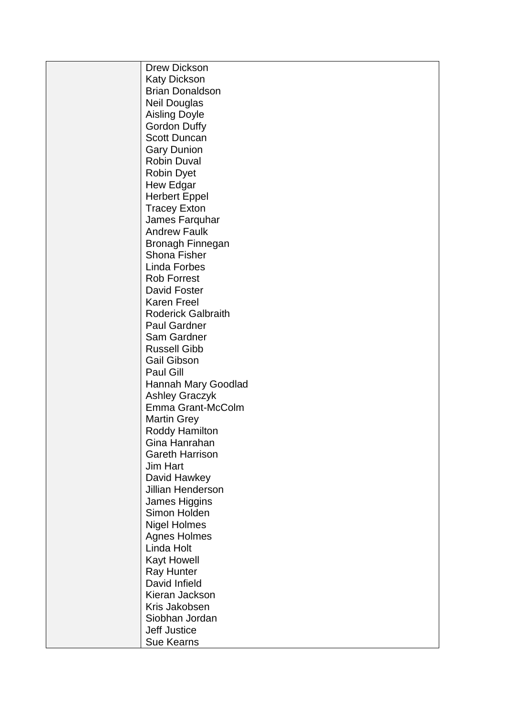| <b>Drew Dickson</b>       |
|---------------------------|
| <b>Katy Dickson</b>       |
| <b>Brian Donaldson</b>    |
| <b>Neil Douglas</b>       |
| <b>Aisling Doyle</b>      |
| <b>Gordon Duffy</b>       |
| <b>Scott Duncan</b>       |
| <b>Gary Dunion</b>        |
| <b>Robin Duval</b>        |
| <b>Robin Dyet</b>         |
| <b>Hew Edgar</b>          |
| <b>Herbert Eppel</b>      |
| <b>Tracey Exton</b>       |
| James Farquhar            |
| <b>Andrew Faulk</b>       |
| Bronagh Finnegan          |
| <b>Shona Fisher</b>       |
| <b>Linda Forbes</b>       |
| <b>Rob Forrest</b>        |
| David Foster              |
| <b>Karen Freel</b>        |
| <b>Roderick Galbraith</b> |
|                           |
| <b>Paul Gardner</b>       |
| Sam Gardner               |
| <b>Russell Gibb</b>       |
| <b>Gail Gibson</b>        |
| Paul Gill                 |
| Hannah Mary Goodlad       |
| <b>Ashley Graczyk</b>     |
| Emma Grant-McColm         |
| <b>Martin Grey</b>        |
| <b>Roddy Hamilton</b>     |
| Gina Hanrahan             |
| <b>Gareth Harrison</b>    |
| Jim Hart                  |
| David Hawkey              |
| <b>Jillian Henderson</b>  |
| James Higgins             |
| Simon Holden              |
| <b>Nigel Holmes</b>       |
| <b>Agnes Holmes</b>       |
| Linda Holt                |
| <b>Kayt Howell</b>        |
| <b>Ray Hunter</b>         |
| David Infield             |
| Kieran Jackson            |
| Kris Jakobsen             |
| Siobhan Jordan            |
| <b>Jeff Justice</b>       |
| <b>Sue Kearns</b>         |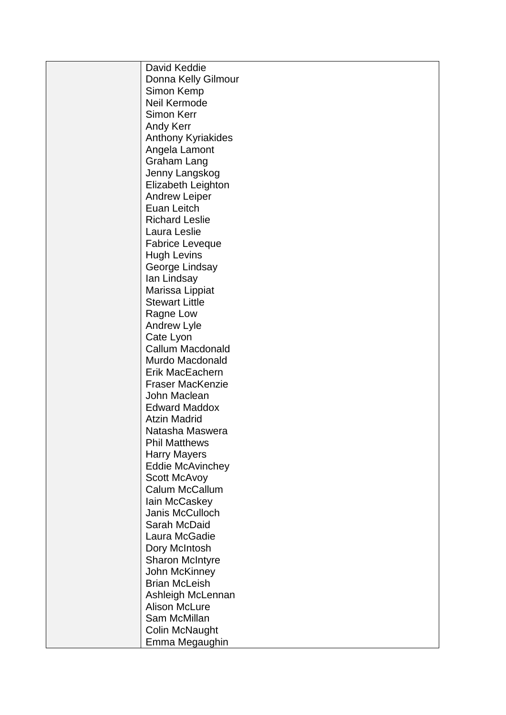| David Keddie                             |
|------------------------------------------|
| Donna Kelly Gilmour                      |
| Simon Kemp                               |
| Neil Kermode                             |
| <b>Simon Kerr</b>                        |
| <b>Andy Kerr</b>                         |
| <b>Anthony Kyriakides</b>                |
| Angela Lamont                            |
| <b>Graham Lang</b>                       |
| Jenny Langskog                           |
| Elizabeth Leighton                       |
| <b>Andrew Leiper</b>                     |
| Euan Leitch                              |
| <b>Richard Leslie</b>                    |
| Laura Leslie                             |
| <b>Fabrice Leveque</b>                   |
| <b>Hugh Levins</b>                       |
|                                          |
| George Lindsay                           |
| lan Lindsay                              |
| Marissa Lippiat<br><b>Stewart Little</b> |
|                                          |
| Ragne Low                                |
| <b>Andrew Lyle</b>                       |
| Cate Lyon<br><b>Callum Macdonald</b>     |
|                                          |
| Murdo Macdonald                          |
| Erik MacEachern                          |
| <b>Fraser MacKenzie</b><br>John Maclean  |
| <b>Edward Maddox</b>                     |
| <b>Atzin Madrid</b>                      |
| Natasha Maswera                          |
| <b>Phil Matthews</b>                     |
|                                          |
| <b>Harry Mayers</b>                      |
| <b>Eddie McAvinchey</b>                  |
| <b>Scott McAvoy</b>                      |
| Calum McCallum                           |
| lain McCaskey                            |
| Janis McCulloch                          |
| Sarah McDaid                             |
| Laura McGadie                            |
| Dory McIntosh                            |
| <b>Sharon McIntyre</b>                   |
| John McKinney                            |
| <b>Brian McLeish</b>                     |
| Ashleigh McLennan                        |
| <b>Alison McLure</b>                     |
| Sam McMillan                             |
| Colin McNaught                           |
| Emma Megaughin                           |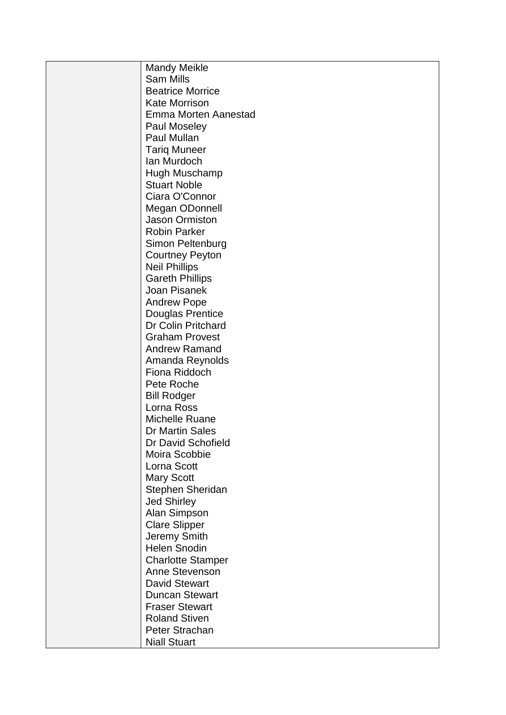| <b>Mandy Meikle</b>      |
|--------------------------|
| <b>Sam Mills</b>         |
| <b>Beatrice Morrice</b>  |
| <b>Kate Morrison</b>     |
| Emma Morten Aanestad     |
| Paul Moseley             |
| Paul Mullan              |
| <b>Tariq Muneer</b>      |
| lan Murdoch              |
| Hugh Muschamp            |
| <b>Stuart Noble</b>      |
| Ciara O'Connor           |
| Megan ODonnell           |
| <b>Jason Ormiston</b>    |
| <b>Robin Parker</b>      |
| Simon Peltenburg         |
| <b>Courtney Peyton</b>   |
| <b>Neil Phillips</b>     |
| <b>Gareth Phillips</b>   |
| Joan Pisanek             |
| <b>Andrew Pope</b>       |
| Douglas Prentice         |
| Dr Colin Pritchard       |
| <b>Graham Provest</b>    |
| <b>Andrew Ramand</b>     |
| Amanda Reynolds          |
| Fiona Riddoch            |
| Pete Roche               |
| <b>Bill Rodger</b>       |
| Lorna Ross               |
| Michelle Ruane           |
| <b>Dr Martin Sales</b>   |
| Dr David Schofield       |
| Moira Scobbie            |
| Lorna Scott              |
| <b>Mary Scott</b>        |
| Stephen Sheridan         |
| <b>Jed Shirley</b>       |
| Alan Simpson             |
| <b>Clare Slipper</b>     |
| Jeremy Smith             |
| <b>Helen Snodin</b>      |
| <b>Charlotte Stamper</b> |
| Anne Stevenson           |
| <b>David Stewart</b>     |
| <b>Duncan Stewart</b>    |
| <b>Fraser Stewart</b>    |
| <b>Roland Stiven</b>     |
| Peter Strachan           |
| <b>Niall Stuart</b>      |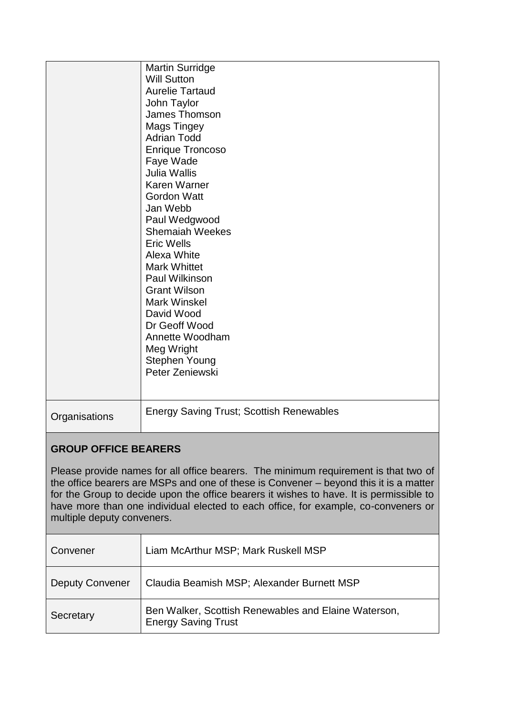|                                                                                                                                                                                                                                                                                                                                                                                             | <b>Martin Surridge</b><br><b>Will Sutton</b><br><b>Aurelie Tartaud</b><br>John Taylor<br>James Thomson<br>Mags Tingey<br><b>Adrian Todd</b><br><b>Enrique Troncoso</b><br>Faye Wade<br>Julia Wallis<br>Karen Warner<br><b>Gordon Watt</b><br>Jan Webb<br>Paul Wedgwood<br><b>Shemaiah Weekes</b><br><b>Eric Wells</b><br>Alexa White<br><b>Mark Whittet</b><br>Paul Wilkinson<br><b>Grant Wilson</b><br><b>Mark Winskel</b><br>David Wood<br>Dr Geoff Wood<br>Annette Woodham<br>Meg Wright<br>Stephen Young<br>Peter Zeniewski |  |
|---------------------------------------------------------------------------------------------------------------------------------------------------------------------------------------------------------------------------------------------------------------------------------------------------------------------------------------------------------------------------------------------|---------------------------------------------------------------------------------------------------------------------------------------------------------------------------------------------------------------------------------------------------------------------------------------------------------------------------------------------------------------------------------------------------------------------------------------------------------------------------------------------------------------------------------|--|
| Organisations                                                                                                                                                                                                                                                                                                                                                                               | <b>Energy Saving Trust; Scottish Renewables</b>                                                                                                                                                                                                                                                                                                                                                                                                                                                                                 |  |
| <b>GROUP OFFICE BEARERS</b>                                                                                                                                                                                                                                                                                                                                                                 |                                                                                                                                                                                                                                                                                                                                                                                                                                                                                                                                 |  |
| Please provide names for all office bearers. The minimum requirement is that two of<br>the office bearers are MSPs and one of these is Convener – beyond this it is a matter<br>for the Group to decide upon the office bearers it wishes to have. It is permissible to<br>have more than one individual elected to each office, for example, co-conveners or<br>multiple deputy conveners. |                                                                                                                                                                                                                                                                                                                                                                                                                                                                                                                                 |  |
| Convener                                                                                                                                                                                                                                                                                                                                                                                    | Liam McArthur MSP; Mark Ruskell MSP                                                                                                                                                                                                                                                                                                                                                                                                                                                                                             |  |
| <b>Deputy Convener</b>                                                                                                                                                                                                                                                                                                                                                                      | Claudia Beamish MSP; Alexander Burnett MSP                                                                                                                                                                                                                                                                                                                                                                                                                                                                                      |  |
| Secretary                                                                                                                                                                                                                                                                                                                                                                                   | Ben Walker, Scottish Renewables and Elaine Waterson,<br><b>Energy Saving Trust</b>                                                                                                                                                                                                                                                                                                                                                                                                                                              |  |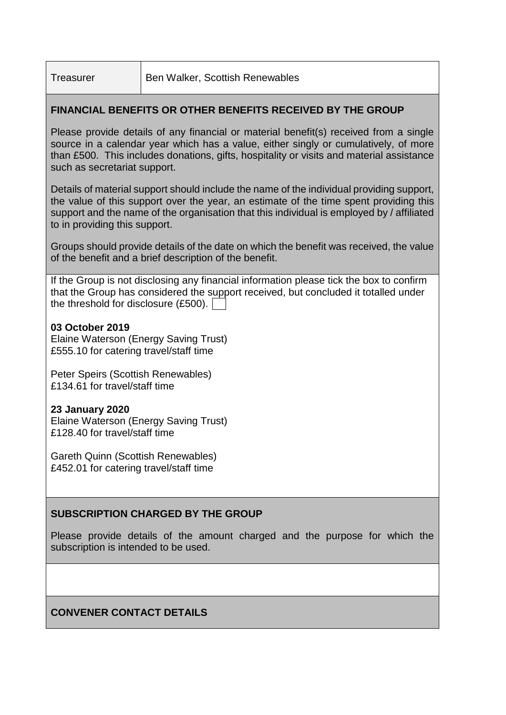## **FINANCIAL BENEFITS OR OTHER BENEFITS RECEIVED BY THE GROUP**

Please provide details of any financial or material benefit(s) received from a single source in a calendar year which has a value, either singly or cumulatively, of more than £500. This includes donations, gifts, hospitality or visits and material assistance such as secretariat support.

Details of material support should include the name of the individual providing support, the value of this support over the year, an estimate of the time spent providing this support and the name of the organisation that this individual is employed by / affiliated to in providing this support.

Groups should provide details of the date on which the benefit was received, the value of the benefit and a brief description of the benefit.

If the Group is not disclosing any financial information please tick the box to confirm that the Group has considered the support received, but concluded it totalled under the threshold for disclosure (£500).

### **03 October 2019**

Elaine Waterson (Energy Saving Trust) £555.10 for catering travel/staff time

Peter Speirs (Scottish Renewables) £134.61 for travel/staff time

### **23 January 2020**

Elaine Waterson (Energy Saving Trust) £128.40 for travel/staff time

Gareth Quinn (Scottish Renewables) £452.01 for catering travel/staff time

### **SUBSCRIPTION CHARGED BY THE GROUP**

Please provide details of the amount charged and the purpose for which the subscription is intended to be used.

## **CONVENER CONTACT DETAILS**